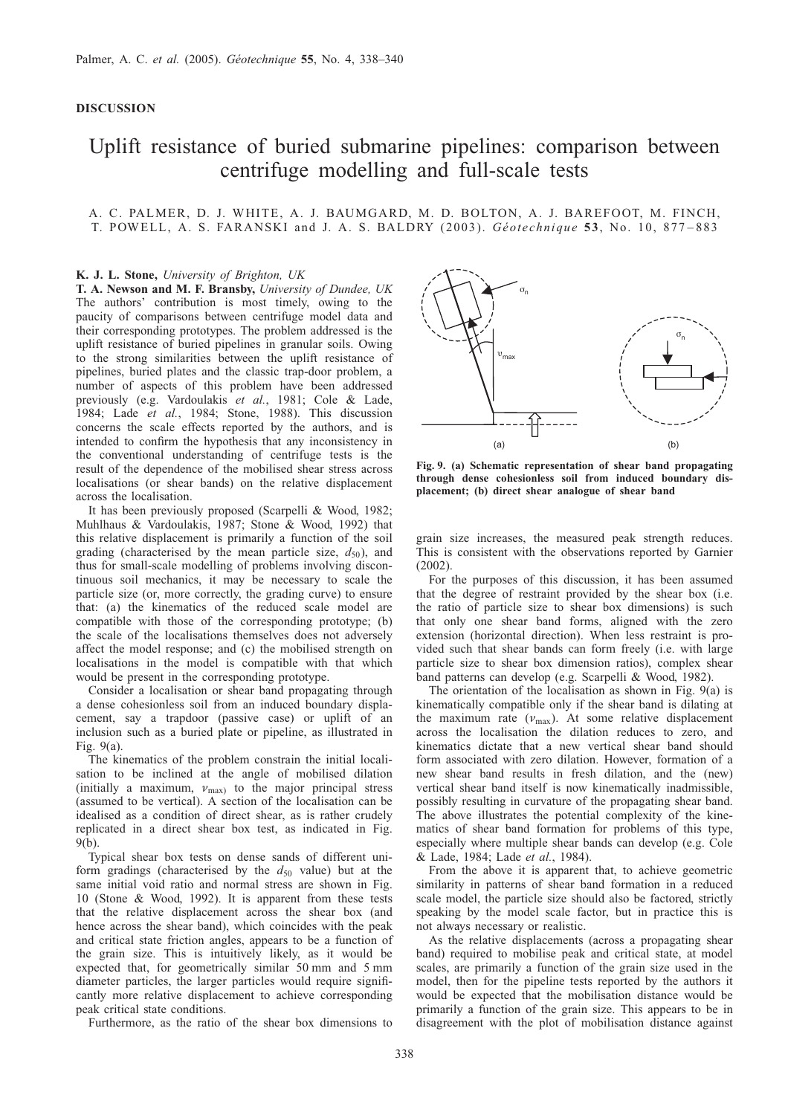## DISCUSSION

# Uplift resistance of buried submarine pipelines: comparison between centrifuge modelling and full-scale tests

## A. C. PALMER, D. J. WHITE, A. J. BAUMGARD, M. D. BOLTON, A. J. BAREFOOT, M. FINCH, T. POWELL, A. S. FARANSKI and J. A. S. BALDRY (2003). Géotechnique 53, No. 10, 877–883

### K. J. L. Stone, University of Brighton, UK

T. A. Newson and M. F. Bransby, University of Dundee, UK The authors' contribution is most timely, owing to the paucity of comparisons between centrifuge model data and their corresponding prototypes. The problem addressed is the uplift resistance of buried pipelines in granular soils. Owing to the strong similarities between the uplift resistance of pipelines, buried plates and the classic trap-door problem, a number of aspects of this problem have been addressed previously (e.g. [Vardoulakis](#page-2-0) et al., 1981; [Cole & Lade,](#page-1-0) [1984;](#page-1-0) Lade et al.[, 1984](#page-1-0); [Stone, 1988\)](#page-2-0). This discussion concerns the scale effects reported by the authors, and is intended to confirm the hypothesis that any inconsistency in the conventional understanding of centrifuge tests is the result of the dependence of the mobilised shear stress across localisations (or shear bands) on the relative displacement across the localisation.

It has been previously proposed [\(Scarpelli & Wood, 1982;](#page-2-0) [Muhlhaus & Vardoulakis, 1987](#page-2-0); [Stone & Wood, 1992\)](#page-2-0) that this relative displacement is primarily a function of the soil grading (characterised by the mean particle size,  $d_{50}$ ), and thus for small-scale modelling of problems involving discontinuous soil mechanics, it may be necessary to scale the particle size (or, more correctly, the grading curve) to ensure that: (a) the kinematics of the reduced scale model are compatible with those of the corresponding prototype; (b) the scale of the localisations themselves does not adversely affect the model response; and (c) the mobilised strength on localisations in the model is compatible with that which would be present in the corresponding prototype.

Consider a localisation or shear band propagating through a dense cohesionless soil from an induced boundary displacement, say a trapdoor (passive case) or uplift of an inclusion such as a buried plate or pipeline, as illustrated in Fig. 9(a).

The kinematics of the problem constrain the initial localisation to be inclined at the angle of mobilised dilation (initially a maximum,  $v_{\text{max}}$ ) to the major principal stress (assumed to be vertical). A section of the localisation can be idealised as a condition of direct shear, as is rather crudely replicated in a direct shear box test, as indicated in Fig. 9(b).

Typical shear box tests on dense sands of different uniform gradings (characterised by the  $d_{50}$  value) but at the same initial void ratio and normal stress are shown in Fig. [10](#page-1-0) [\(Stone & Wood, 1992\)](#page-2-0). It is apparent from these tests that the relative displacement across the shear box (and hence across the shear band), which coincides with the peak and critical state friction angles, appears to be a function of the grain size. This is intuitively likely, as it would be expected that, for geometrically similar 50 mm and 5 mm diameter particles, the larger particles would require significantly more relative displacement to achieve corresponding peak critical state conditions.

Furthermore, as the ratio of the shear box dimensions to



Fig. 9. (a) Schematic representation of shear band propagating through dense cohesionless soil from induced boundary displacement; (b) direct shear analogue of shear band

grain size increases, the measured peak strength reduces. This is consistent with the observations reported by Garnier (2002).

For the purposes of this discussion, it has been assumed that the degree of restraint provided by the shear box (i.e. the ratio of particle size to shear box dimensions) is such that only one shear band forms, aligned with the zero extension (horizontal direction). When less restraint is provided such that shear bands can form freely (i.e. with large particle size to shear box dimension ratios), complex shear band patterns can develop (e.g. [Scarpelli & Wood, 1982\)](#page-2-0).

The orientation of the localisation as shown in Fig. 9(a) is kinematically compatible only if the shear band is dilating at the maximum rate  $(v_{\text{max}})$ . At some relative displacement across the localisation the dilation reduces to zero, and kinematics dictate that a new vertical shear band should form associated with zero dilation. However, formation of a new shear band results in fresh dilation, and the (new) vertical shear band itself is now kinematically inadmissible, possibly resulting in curvature of the propagating shear band. The above illustrates the potential complexity of the kinematics of shear band formation for problems of this type, especially where multiple shear bands can develop (e.g. [Cole](#page-1-0) [& Lade, 1984;](#page-1-0) Lade et al.[, 1984\)](#page-1-0).

From the above it is apparent that, to achieve geometric similarity in patterns of shear band formation in a reduced scale model, the particle size should also be factored, strictly speaking by the model scale factor, but in practice this is not always necessary or realistic.

As the relative displacements (across a propagating shear band) required to mobilise peak and critical state, at model scales, are primarily a function of the grain size used in the model, then for the pipeline tests reported by the authors it would be expected that the mobilisation distance would be primarily a function of the grain size. This appears to be in disagreement with the plot of mobilisation distance against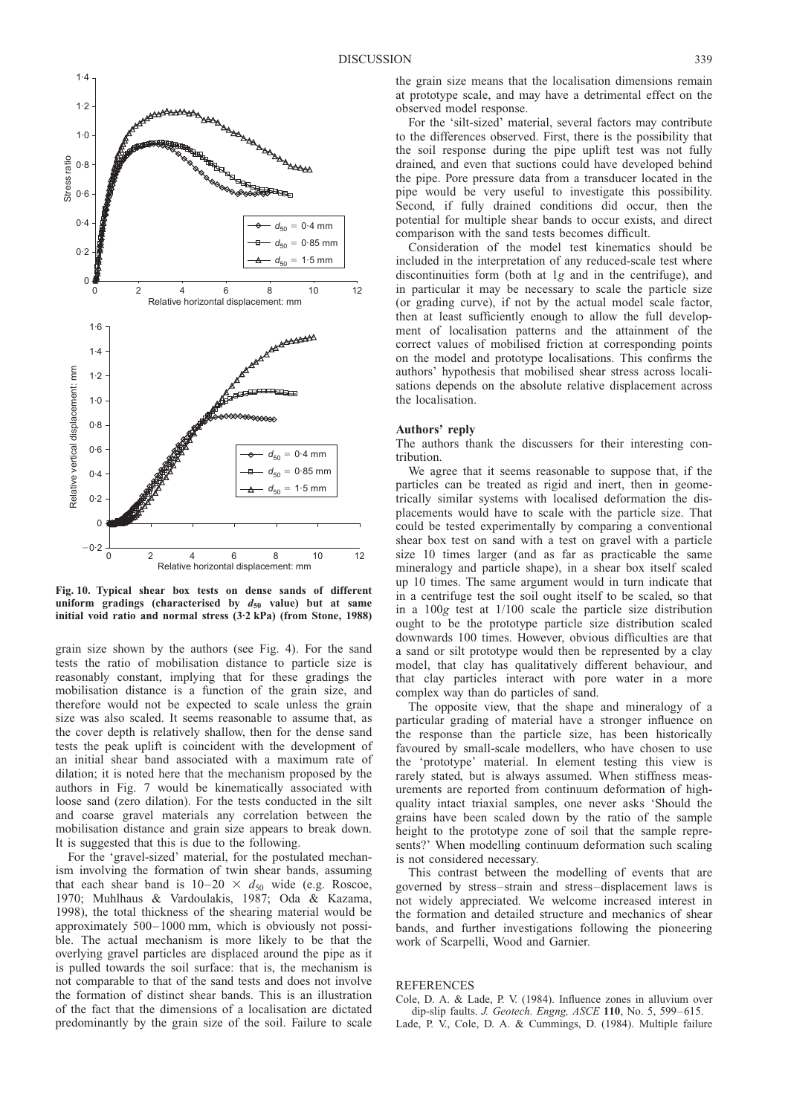<span id="page-1-0"></span>

Fig. 10. Typical shear box tests on dense sands of different uniform gradings (characterised by  $d_{50}$  value) but at same initial void ratio and normal stress (3. 2 kPa) (from [Stone, 1988](#page-2-0))

grain size shown by the authors (see Fig. 4). For the sand tests the ratio of mobilisation distance to particle size is reasonably constant, implying that for these gradings the mobilisation distance is a function of the grain size, and therefore would not be expected to scale unless the grain size was also scaled. It seems reasonable to assume that, as the cover depth is relatively shallow, then for the dense sand tests the peak uplift is coincident with the development of an initial shear band associated with a maximum rate of dilation; it is noted here that the mechanism proposed by the authors in Fig. 7 would be kinematically associated with loose sand (zero dilation). For the tests conducted in the silt and coarse gravel materials any correlation between the mobilisation distance and grain size appears to break down. It is suggested that this is due to the following.

For the 'gravel-sized' material, for the postulated mechanism involving the formation of twin shear bands, assuming that each shear band is  $10-20 \times d_{50}$  wide (e.g. [Roscoe,](#page-2-0) [1970; Muhlhaus & Vardoulakis, 1987; Oda & Kazama,](#page-2-0) [1998](#page-2-0)), the total thickness of the shearing material would be approximately 500–1000 mm, which is obviously not possible. The actual mechanism is more likely to be that the overlying gravel particles are displaced around the pipe as it is pulled towards the soil surface: that is, the mechanism is not comparable to that of the sand tests and does not involve the formation of distinct shear bands. This is an illustration of the fact that the dimensions of a localisation are dictated predominantly by the grain size of the soil. Failure to scale the grain size means that the localisation dimensions remain at prototype scale, and may have a detrimental effect on the observed model response.

For the 'silt-sized' material, several factors may contribute to the differences observed. First, there is the possibility that the soil response during the pipe uplift test was not fully drained, and even that suctions could have developed behind the pipe. Pore pressure data from a transducer located in the pipe would be very useful to investigate this possibility. Second, if fully drained conditions did occur, then the potential for multiple shear bands to occur exists, and direct comparison with the sand tests becomes difficult.

Consideration of the model test kinematics should be included in the interpretation of any reduced-scale test where discontinuities form (both at 1g and in the centrifuge), and in particular it may be necessary to scale the particle size (or grading curve), if not by the actual model scale factor, then at least sufficiently enough to allow the full development of localisation patterns and the attainment of the correct values of mobilised friction at corresponding points on the model and prototype localisations. This confirms the authors' hypothesis that mobilised shear stress across localisations depends on the absolute relative displacement across the localisation.

#### Authors' reply

The authors thank the discussers for their interesting contribution.

We agree that it seems reasonable to suppose that, if the particles can be treated as rigid and inert, then in geometrically similar systems with localised deformation the displacements would have to scale with the particle size. That could be tested experimentally by comparing a conventional shear box test on sand with a test on gravel with a particle size 10 times larger (and as far as practicable the same mineralogy and particle shape), in a shear box itself scaled up 10 times. The same argument would in turn indicate that in a centrifuge test the soil ought itself to be scaled, so that in a 100g test at 1/100 scale the particle size distribution ought to be the prototype particle size distribution scaled downwards 100 times. However, obvious difficulties are that a sand or silt prototype would then be represented by a clay model, that clay has qualitatively different behaviour, and that clay particles interact with pore water in a more complex way than do particles of sand.

The opposite view, that the shape and mineralogy of a particular grading of material have a stronger influence on the response than the particle size, has been historically favoured by small-scale modellers, who have chosen to use the 'prototype' material. In element testing this view is rarely stated, but is always assumed. When stiffness measurements are reported from continuum deformation of highquality intact triaxial samples, one never asks 'Should the grains have been scaled down by the ratio of the sample height to the prototype zone of soil that the sample represents?' When modelling continuum deformation such scaling is not considered necessary.

This contrast between the modelling of events that are governed by stress–strain and stress–displacement laws is not widely appreciated. We welcome increased interest in the formation and detailed structure and mechanics of shear bands, and further investigations following the pioneering work of Scarpelli, Wood and Garnier.

#### **REFERENCES**

Cole, D. A. & Lade, P. V. (1984). Influence zones in alluvium over dip-slip faults. J. Geotech. Engng, ASCE 110, No. 5, 599–615. Lade, P. V., Cole, D. A. & Cummings, D. (1984). Multiple failure